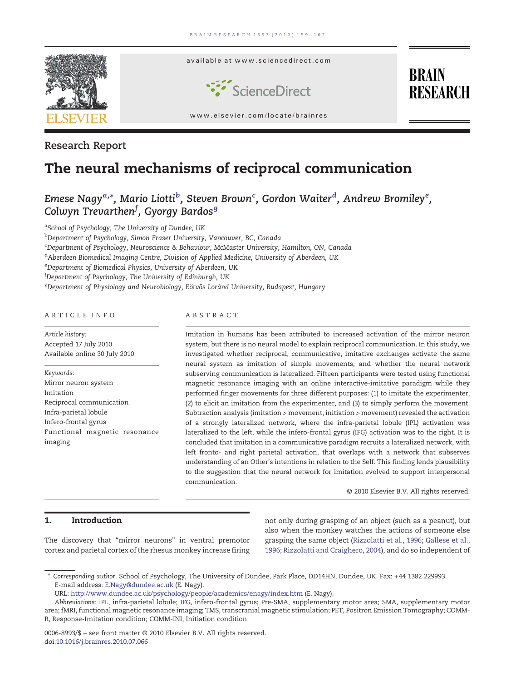

### Research Report

# The neural mechanisms of reciprocal communication

## Emese Nagy $^{a,\ast}$ , Mario Liotti $^b$ , Steven Brown $^c$ , Gordon Waiter $^d$ , Andrew Bromiley $^e$ , Colwyn Trevarthen<sup>f</sup>, Gyorgy Bardos<sup>g</sup>

<sup>a</sup>School of Psychology, The University of Dundee, UK

<sup>b</sup>Department of Psychology, Simon Fraser University, Vancouver, BC, Canada

<sup>c</sup>Department of Psychology, Neuroscience & Behaviour, McMaster University, Hamilton, ON, Canada

<sup>d</sup>Aberdeen Biomedical Imaging Centre, Division of Applied Medicine, University of Aberdeen, UK

e Department of Biomedical Physics, University of Aberdeen, UK

f Department of Psychology, The University of Edinburgh, UK

<sup>g</sup>Department of Physiology and Neurobiology, Eötvös Loránd University, Budapest, Hungary

#### ARTICLE INFO ABSTRACT

Article history: Accepted 17 July 2010 Available online 30 July 2010

Keywords: Mirror neuron system Imitation Reciprocal communication Infra-parietal lobule Infero-frontal gyrus Functional magnetic resonance imaging

Imitation in humans has been attributed to increased activation of the mirror neuron system, but there is no neural model to explain reciprocal communication. In this study, we investigated whether reciprocal, communicative, imitative exchanges activate the same neural system as imitation of simple movements, and whether the neural network subserving communication is lateralized. Fifteen participants were tested using functional magnetic resonance imaging with an online interactive-imitative paradigm while they performed finger movements for three different purposes: (1) to imitate the experimenter, (2) to elicit an imitation from the experimenter, and (3) to simply perform the movement. Subtraction analysis (imitation > movement, initiation > movement) revealed the activation of a strongly lateralized network, where the infra-parietal lobule (IPL) activation was lateralized to the left, while the infero-frontal gyrus (IFG) activation was to the right. It is concluded that imitation in a communicative paradigm recruits a lateralized network, with left fronto- and right parietal activation, that overlaps with a network that subserves understanding of an Other's intentions in relation to the Self. This finding lends plausibility to the suggestion that the neural network for imitation evolved to support interpersonal communication.

© 2010 Elsevier B.V. All rights reserved.

### 1. Introduction

The discovery that "mirror neurons" in ventral premotor cortex and parietal cortex of the rhesus monkey increase firing not only during grasping of an object (such as a peanut), but also when the monkey watches the actions of someone else grasping the same object ([Rizzolatti et al., 1996; Gallese et al.,](#page-8-0) [1996; Rizzolatti and Craighero, 2004](#page-8-0)), and do so independent of

<sup>⁎</sup> Corresponding author. School of Psychology, The University of Dundee, Park Place, DD14HN, Dundee, UK. Fax: +44 1382 229993. E-mail address: [E.Nagy@dundee.ac.uk](mailto:E.Nagy@dundee.ac.uk) (E. Nagy).

URL: <http://www.dundee.ac.uk/psychology/people/academics/enagy/index.htm> (E. Nagy).

Abbreviations: IPL, infra-parietal lobule; IFG, infero-frontal gyrus; Pre-SMA, supplementary motor area; SMA, supplementary motor area; fMRI, functional magnetic resonance imaging; TMS, transcranial magnetic stimulation; PET, Positron Emission Tomography; COMM-R, Response-Imitation condition; COMM-INI, Initiation condition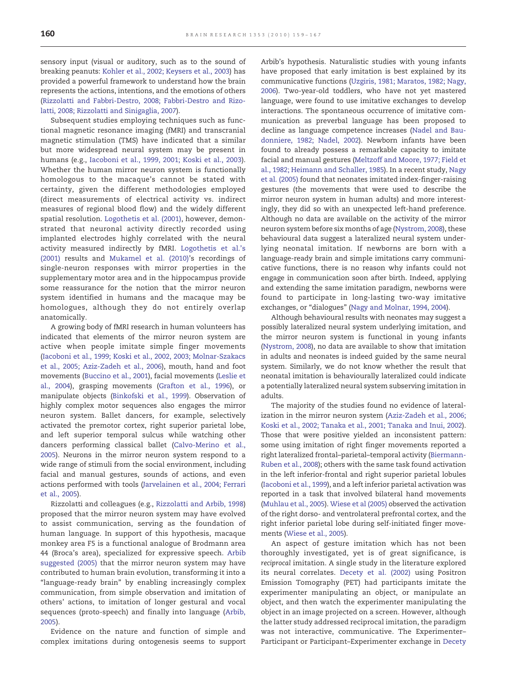sensory input (visual or auditory, such as to the sound of breaking peanuts: [Kohler et al., 2002; Keysers et al., 2003\)](#page-7-0) has provided a powerful framework to understand how the brain represents the actions, intentions, and the emotions of others ([Rizzolatti and Fabbri-Destro, 2008; Fabbri-Destro and Rizo](#page-8-0)[latti, 2008; Rizzolatti and Sinigaglia, 2007](#page-8-0)).

Subsequent studies employing techniques such as functional magnetic resonance imaging (fMRI) and transcranial magnetic stimulation (TMS) have indicated that a similar but more widespread neural system may be present in humans (e.g., [Iacoboni et al., 1999, 2001; Koski et al., 2003\)](#page-7-0). Whether the human mirror neuron system is functionally homologous to the macaque's cannot be stated with certainty, given the different methodologies employed (direct measurements of electrical activity vs. indirect measures of regional blood flow) and the widely different spatial resolution. [Logothetis et al. \(2001\)](#page-8-0), however, demonstrated that neuronal activity directly recorded using implanted electrodes highly correlated with the neural activity measured indirectly by fMRI. [Logothetis et al.'s](#page-8-0) [\(2001\)](#page-8-0) results and [Mukamel et al. \(2010\)](#page-8-0)'s recordings of single-neuron responses with mirror properties in the supplementary motor area and in the hippocampus provide some reassurance for the notion that the mirror neuron system identified in humans and the macaque may be homologues, although they do not entirely overlap anatomically.

A growing body of fMRI research in human volunteers has indicated that elements of the mirror neuron system are active when people imitate simple finger movements ([Iacoboni et al., 1999; Koski et al., 2002, 2003; Molnar-Szakacs](#page-7-0) [et al., 2005; Aziz-Zadeh et al., 2006](#page-7-0)), mouth, hand and foot movements [\(Buccino et al., 2001\)](#page-7-0), facial movements [\(Leslie et](#page-8-0) [al., 2004\)](#page-8-0), grasping movements [\(Grafton et al., 1996](#page-7-0)), or manipulate objects [\(Binkofski et al., 1999\)](#page-7-0). Observation of highly complex motor sequences also engages the mirror neuron system. Ballet dancers, for example, selectively activated the premotor cortex, right superior parietal lobe, and left superior temporal sulcus while watching other dancers performing classical ballet ([Calvo-Merino et al.,](#page-7-0) [2005\)](#page-7-0). Neurons in the mirror neuron system respond to a wide range of stimuli from the social environment, including facial and manual gestures, sounds of actions, and even actions performed with tools ([Jarvelainen et al., 2004; Ferrari](#page-7-0) [et al., 2005\)](#page-7-0).

Rizzolatti and colleagues (e.g., [Rizzolatti and Arbib, 1998\)](#page-8-0) proposed that the mirror neuron system may have evolved to assist communication, serving as the foundation of human language. In support of this hypothesis, macaque monkey area F5 is a functional analogue of Brodmann area 44 (Broca's area), specialized for expressive speech. [Arbib](#page-6-0) [suggested \(2005\)](#page-6-0) that the mirror neuron system may have contributed to human brain evolution, transforming it into a "language-ready brain" by enabling increasingly complex communication, from simple observation and imitation of others' actions, to imitation of longer gestural and vocal sequences (proto-speech) and finally into language ([Arbib,](#page-6-0) [2005](#page-6-0)).

Evidence on the nature and function of simple and complex imitations during ontogenesis seems to support

Arbib's hypothesis. Naturalistic studies with young infants have proposed that early imitation is best explained by its communicative functions [\(Uzgiris, 1981; Maratos, 1982; Nagy,](#page-8-0) [2006\)](#page-8-0). Two-year-old toddlers, who have not yet mastered language, were found to use imitative exchanges to develop interactions. The spontaneous occurrence of imitative communication as preverbal language has been proposed to decline as language competence increases ([Nadel and Bau](#page-8-0)[donniere, 1982; Nadel, 2002](#page-8-0)). Newborn infants have been found to already possess a remarkable capacity to imitate facial and manual gestures ([Meltzoff and Moore, 1977; Field et](#page-8-0) [al., 1982; Heimann and Schaller, 1985\)](#page-8-0). In a recent study, [Nagy](#page-8-0) [et al. \(2005\)](#page-8-0) found that neonates imitated index-finger-raising gestures (the movements that were used to describe the mirror neuron system in human adults) and more interestingly, they did so with an unexpected left-hand preference. Although no data are available on the activity of the mirror neuron system before six months of age ([Nystrom, 2008](#page-8-0)), these behavioural data suggest a lateralized neural system underlying neonatal imitation. If newborns are born with a language-ready brain and simple imitations carry communicative functions, there is no reason why infants could not engage in communication soon after birth. Indeed, applying and extending the same imitation paradigm, newborns were found to participate in long-lasting two-way imitative exchanges, or "dialogues" [\(Nagy and Molnar, 1994, 2004](#page-8-0)).

Although behavioural results with neonates may suggest a possibly lateralized neural system underlying imitation, and the mirror neuron system is functional in young infants ([Nystrom, 2008\)](#page-8-0), no data are available to show that imitation in adults and neonates is indeed guided by the same neural system. Similarly, we do not know whether the result that neonatal imitation is behaviourally lateralized could indicate a potentially lateralized neural system subserving imitation in adults.

The majority of the studies found no evidence of lateralization in the mirror neuron system [\(Aziz-Zadeh et al., 2006;](#page-7-0) [Koski et al., 2002; Tanaka et al., 2001; Tanaka and Inui, 2002\)](#page-7-0). Those that were positive yielded an inconsistent pattern: some using imitation of right finger movements reported a right lateralized frontal–parietal–temporal activity ([Biermann-](#page-7-0)[Ruben et al., 2008](#page-7-0)); others with the same task found activation in the left inferior-frontal and right superior parietal lobules ([Iacoboni et al., 1999](#page-7-0)), and a left inferior parietal activation was reported in a task that involved bilateral hand movements ([Muhlau et al., 2005\)](#page-8-0). [Wiese et al \(2005\)](#page-8-0) observed the activation of the right dorso- and ventrolateral prefrontal cortex, and the right inferior parietal lobe during self-initiated finger movements ([Wiese et al., 2005](#page-8-0)).

An aspect of gesture imitation which has not been thoroughly investigated, yet is of great significance, is reciprocal imitation. A single study in the literature explored its neural correlates. [Decety et al. \(2002\)](#page-7-0) using Positron Emission Tomography (PET) had participants imitate the experimenter manipulating an object, or manipulate an object, and then watch the experimenter manipulating the object in an image projected on a screen. However, although the latter study addressed reciprocal imitation, the paradigm was not interactive, communicative. The Experimenter– Participant or Participant–Experimenter exchange in [Decety](#page-7-0)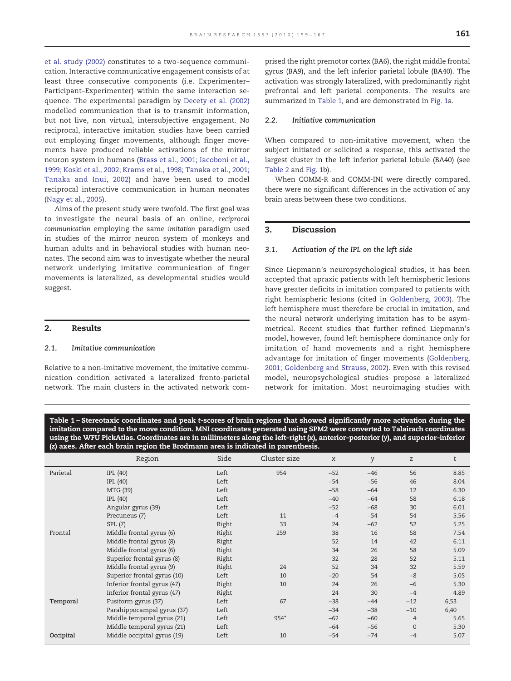[et al. study \(2002\)](#page-7-0) constitutes to a two-sequence communication. Interactive communicative engagement consists of at least three consecutive components (i.e. Experimenter– Participant–Experimenter) within the same interaction sequence. The experimental paradigm by [Decety et al. \(2002\)](#page-7-0) modelled communication that is to transmit information, but not live, non virtual, intersubjective engagement. No reciprocal, interactive imitation studies have been carried out employing finger movements, although finger movements have produced reliable activations of the mirror neuron system in humans [\(Brass et al., 2001; Iacoboni et al.,](#page-7-0) [1999; Koski et al., 2002; Krams et al., 1998; Tanaka et al., 2001;](#page-7-0) [Tanaka and Inui, 2002](#page-7-0)) and have been used to model reciprocal interactive communication in human neonates [\(Nagy et al., 2005](#page-8-0)).

Aims of the present study were twofold. The first goal was to investigate the neural basis of an online, reciprocal communication employing the same imitation paradigm used in studies of the mirror neuron system of monkeys and human adults and in behavioral studies with human neonates. The second aim was to investigate whether the neural network underlying imitative communication of finger movements is lateralized, as developmental studies would suggest.

#### 2. Results

#### 2.1. Imitative communication

Relative to a non-imitative movement, the imitative communication condition activated a lateralized fronto-parietal network. The main clusters in the activated network com-

prised the right premotor cortex (BA6), the right middle frontal gyrus (BA9), and the left inferior parietal lobule (BA40). The activation was strongly lateralized, with predominantly right prefrontal and left parietal components. The results are summarized in Table 1, and are demonstrated in [Fig. 1](#page-3-0)a.

#### 2.2. Initiative communication

When compared to non-imitative movement, when the subject initiated or solicited a response, this activated the largest cluster in the left inferior parietal lobule (BA40) (see [Table 2](#page-3-0) and [Fig. 1b](#page-3-0)).

When COMM-R and COMM-INI were directly compared, there were no significant differences in the activation of any brain areas between these two conditions.

#### 3. Discussion

#### 3.1. Activation of the IPL on the left side

Since Liepmann's neuropsychological studies, it has been accepted that apraxic patients with left hemispheric lesions have greater deficits in imitation compared to patients with right hemispheric lesions (cited in [Goldenberg, 2003](#page-7-0)). The left hemisphere must therefore be crucial in imitation, and the neural network underlying imitation has to be asymmetrical. Recent studies that further refined Liepmann's model, however, found left hemisphere dominance only for imitation of hand movements and a right hemisphere advantage for imitation of finger movements ([Goldenberg,](#page-7-0) [2001; Goldenberg and Strauss, 2002\)](#page-7-0). Even with this revised model, neuropsychological studies propose a lateralized network for imitation. Most neuroimaging studies with

Table 1 – Stereotaxic coordinates and peak t-scores of brain regions that showed significantly more activation during the imitation compared to the move condition. MNI coordinates generated using SPM2 were converted to Talairach coordinates using the WFU PickAtlas. Coordinates are in millimeters along the left–right (x), anterior–posterior (y), and superior–inferior (z) axes. After each brain region the Brodmann area is indicated in parenthesis.

|           | Region                      | Side  | Cluster size | $\boldsymbol{\chi}$ | y     | Z            | t    |
|-----------|-----------------------------|-------|--------------|---------------------|-------|--------------|------|
| Parietal  | IPL(40)                     | Left  | 954          | $-52$               | $-46$ | 56           | 8.85 |
|           | IPL(40)                     | Left  |              | $-54$               | $-56$ | 46           | 8.04 |
|           | MTG (39)                    | Left  |              | $-58$               | $-64$ | 12           | 6.30 |
|           | IPL(40)                     | Left  |              | $-40$               | $-64$ | 58           | 6.18 |
|           | Angular gyrus (39)          | Left  |              | $-52$               | $-68$ | 30           | 6.01 |
|           | Precuneus (7)               | Left  | 11           | $-4$                | $-54$ | 54           | 5.56 |
|           | SPL(7)                      | Right | 33           | 24                  | $-62$ | 52           | 5.25 |
| Frontal   | Middle frontal gyrus (6)    | Right | 259          | 38                  | 16    | 58           | 7.54 |
|           | Middle frontal gyrus (8)    | Right |              | 52                  | 14    | 42           | 6.11 |
|           | Middle frontal gyrus (6)    | Right |              | 34                  | 26    | 58           | 5.09 |
|           | Superior frontal gyrus (8)  | Right |              | 32                  | 28    | 52           | 5.11 |
|           | Middle frontal gyrus (9)    | Right | 24           | 52                  | 34    | 32           | 5.59 |
|           | Superior frontal gyrus (10) | Left  | 10           | $-20$               | 54    | $-8$         | 5.05 |
|           | Inferior frontal gyrus (47) | Right | 10           | 24                  | 26    | $-6$         | 5.30 |
|           | Inferior frontal gyrus (47) | Right |              | 24                  | 30    | $-4$         | 4.89 |
| Temporal  | Fusiform gyrus (37)         | Left  | 67           | $-38$               | $-44$ | $-12$        | 6,53 |
|           | Parahippocampal gyrus (37)  | Left  |              | $-34$               | $-38$ | $-10$        | 6,40 |
|           | Middle temporal gyrus (21)  | Left  | $954*$       | $-62$               | $-60$ | 4            | 5.65 |
|           | Middle temporal gyrus (21)  | Left  |              | $-64$               | $-56$ | $\mathbf{0}$ | 5.30 |
| Occipital | Middle occipital gyrus (19) | Left  | 10           | $-54$               | $-74$ | $-4$         | 5.07 |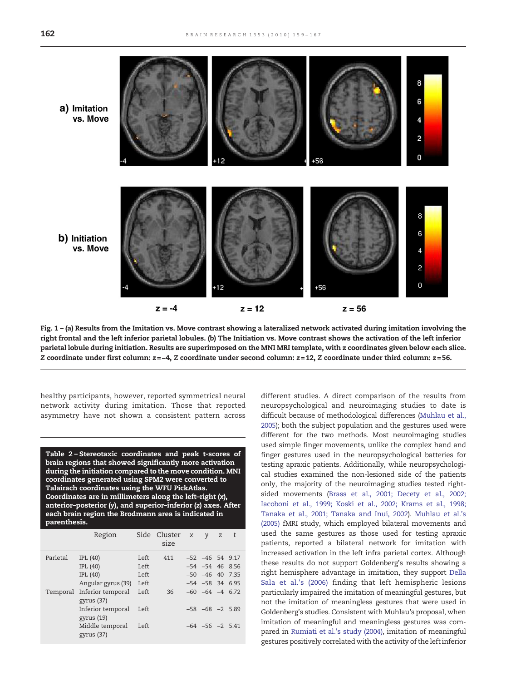<span id="page-3-0"></span>

Fig. 1 – (a) Results from the Imitation vs. Move contrast showing a lateralized network activated during imitation involving the right frontal and the left inferior parietal lobules. (b) The Initiation vs. Move contrast shows the activation of the left inferior parietal lobule during initiation. Results are superimposed on the MNI MRI template, with z coordinates given below each slice. Z coordinate under first column: z=−4, Z coordinate under second column: z= 12, Z coordinate under third column: z= 56.

healthy participants, however, reported symmetrical neural network activity during imitation. Those that reported asymmetry have not shown a consistent pattern across

Table 2 – Stereotaxic coordinates and peak t-scores of brain regions that showed significantly more activation during the initiation compared to the move condition. MNI coordinates generated using SPM2 were converted to Talairach coordinates using the WFU PickAtlas. Coordinates are in millimeters along the left–right (x), anterior–posterior (y), and superior–inferior (z) axes. After each brain region the Brodmann area is indicated in parenthesis.

|          | Region                                  |      | Side Cluster x y z<br>size |                       | t |
|----------|-----------------------------------------|------|----------------------------|-----------------------|---|
| Parietal | IPL(40)                                 | Left | 411                        | $-52 -46$ 54 9.17     |   |
|          | IPL (40)                                | Left |                            | $-54$ $-54$ 46 8.56   |   |
|          | IPL (40)                                | Left |                            | $-50$ $-46$ 40 7.35   |   |
|          | Angular gyrus (39)                      | Left |                            | $-54$ $-58$ 34 6.95   |   |
|          | Temporal Inferior temporal<br>gyrus(37) | Left | 36                         | $-60 -64 -4 672$      |   |
|          | Inferior temporal<br>gyrus(19)          | Left |                            | $-58$ $-68$ $-2$ 5.89 |   |
|          | Middle temporal<br>gyrus(37)            | Left |                            | $-64$ $-56$ $-2$ 5.41 |   |

different studies. A direct comparison of the results from neuropsychological and neuroimaging studies to date is difficult because of methodological differences ([Muhlau et al.,](#page-8-0) [2005](#page-8-0)); both the subject population and the gestures used were different for the two methods. Most neuroimaging studies used simple finger movements, unlike the complex hand and finger gestures used in the neuropsychological batteries for testing apraxic patients. Additionally, while neuropsychological studies examined the non-lesioned side of the patients only, the majority of the neuroimaging studies tested rightsided movements ([Brass et al., 2001; Decety et al., 2002;](#page-7-0) [Iacoboni et al., 1999; Koski et al., 2002; Krams et al., 1998;](#page-7-0) [Tanaka et al., 2001; Tanaka and Inui, 2002](#page-7-0)). [Muhlau et al.'s](#page-8-0) [\(2005\)](#page-8-0) fMRI study, which employed bilateral movements and used the same gestures as those used for testing apraxic patients, reported a bilateral network for imitation with increased activation in the left infra parietal cortex. Although these results do not support Goldenberg's results showing a right hemisphere advantage in imitation, they support [Della](#page-7-0) [Sala et al.'s \(2006\)](#page-7-0) finding that left hemispheric lesions particularly impaired the imitation of meaningful gestures, but not the imitation of meaningless gestures that were used in Goldenberg's studies. Consistent with Muhlau's proposal, when imitation of meaningful and meaningless gestures was compared in [Rumiati et al.'s study \(2004\)](#page-8-0), imitation of meaningful gestures positively correlated with the activity of the left inferior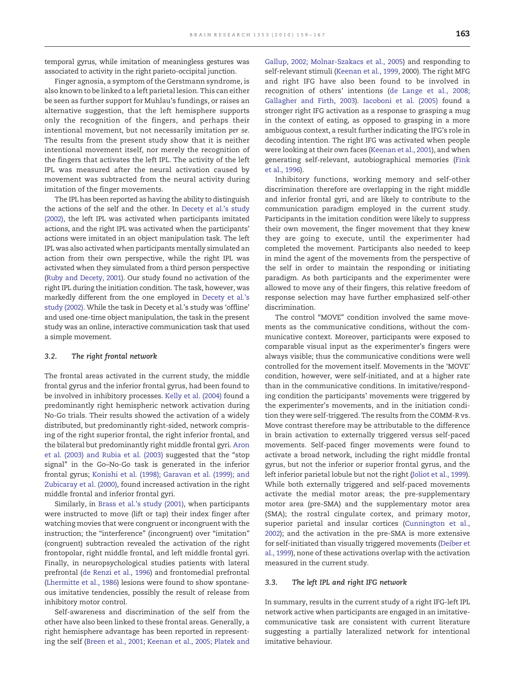temporal gyrus, while imitation of meaningless gestures was associated to activity in the right parieto-occipital junction.

Finger agnosia, a symptom of the Gerstmann syndrome, is also known to be linked to a left parietal lesion. This can either be seen as further support for Muhlau's fundings, or raises an alternative suggestion, that the left hemisphere supports only the recognition of the fingers, and perhaps their intentional movement, but not necessarily imitation per se. The results from the present study show that it is neither intentional movement itself, nor merely the recognition of the fingers that activates the left IPL. The activity of the left IPL was measured after the neural activation caused by movement was subtracted from the neural activity during imitation of the finger movements.

The IPL has been reported as having the ability to distinguish the actions of the self and the other. In [Decety et al.'s study](#page-7-0) [\(2002\),](#page-7-0) the left IPL was activated when participants imitated actions, and the right IPL was activated when the participants' actions were imitated in an object manipulation task. The left IPL was also activated when participants mentally simulated an action from their own perspective, while the right IPL was activated when they simulated from a third person perspective [\(Ruby and Decety, 2001](#page-8-0)). Our study found no activation of the right IPL during the initiation condition. The task, however, was markedly different from the one employed in [Decety et al.'s](#page-7-0) [study \(2002\)](#page-7-0). While the task in Decety et al.'s study was 'offline' and used one-time object manipulation, the task in the present study was an online, interactive communication task that used a simple movement.

#### 3.2. The right frontal network

The frontal areas activated in the current study, the middle frontal gyrus and the inferior frontal gyrus, had been found to be involved in inhibitory processes. [Kelly et al. \(2004\)](#page-7-0) found a predominantly right hemispheric network activation during No-Go trials. Their results showed the activation of a widely distributed, but predominantly right-sided, network comprising of the right superior frontal, the right inferior frontal, and the bilateral but predominantly right middle frontal gyri. [Aron](#page-7-0) [et al. \(2003\) and Rubia et al. \(2003\)](#page-7-0) suggested that the "stop signal" in the Go–No-Go task is generated in the inferior frontal gyrus; [Konishi et al. \(1998\); Garavan et al. \(1999\); and](#page-7-0) [Zubicaray et al. \(2000\)](#page-7-0), found increased activation in the right middle frontal and inferior frontal gyri.

Similarly, in [Brass et al.'s study \(2001\)](#page-7-0), when participants were instructed to move (lift or tap) their index finger after watching movies that were congruent or incongruent with the instruction; the "interference" (incongruent) over "imitation" (congruent) subtraction revealed the activation of the right frontopolar, right middle frontal, and left middle frontal gyri. Finally, in neuropsychological studies patients with lateral prefrontal [\(de Renzi et al., 1996](#page-7-0)) and frontomedial prefrontal [\(Lhermitte et al., 1986](#page-8-0)) lesions were found to show spontaneous imitative tendencies, possibly the result of release from inhibitory motor control.

Self-awareness and discrimination of the self from the other have also been linked to these frontal areas. Generally, a right hemisphere advantage has been reported in representing the self ([Breen et al., 2001; Keenan et al., 2005; Platek and](#page-7-0)

[Gallup, 2002; Molnar-Szakacs et al., 2005\)](#page-7-0) and responding to self-relevant stimuli [\(Keenan et al., 1999](#page-7-0), 2000). The right MFG and right IFG have also been found to be involved in recognition of others' intentions [\(de Lange et al., 2008;](#page-7-0) [Gallagher and Firth, 2003\)](#page-7-0). [Iacoboni et al. \(2005\)](#page-7-0) found a stronger right IFG activation as a response to grasping a mug in the context of eating, as opposed to grasping in a more ambiguous context, a result further indicating the IFG's role in decoding intention. The right IFG was activated when people were looking at their own faces [\(Keenan et al., 2001](#page-7-0)), and when generating self-relevant, autobiographical memories [\(Fink](#page-7-0) [et al., 1996](#page-7-0)).

Inhibitory functions, working memory and self-other discrimination therefore are overlapping in the right middle and inferior frontal gyri, and are likely to contribute to the communication paradigm employed in the current study. Participants in the imitation condition were likely to suppress their own movement, the finger movement that they knew they are going to execute, until the experimenter had completed the movement. Participants also needed to keep in mind the agent of the movements from the perspective of the self in order to maintain the responding or initiating paradigm. As both participants and the experimenter were allowed to move any of their fingers, this relative freedom of response selection may have further emphasized self-other discrimination.

The control "MOVE" condition involved the same movements as the communicative conditions, without the communicative context. Moreover, participants were exposed to comparable visual input as the experimenter's fingers were always visible; thus the communicative conditions were well controlled for the movement itself. Movements in the 'MOVE' condition, however, were self-initiated, and at a higher rate than in the communicative conditions. In imitative/responding condition the participants' movements were triggered by the experimenter's movements, and in the initiation condition they were self-triggered. The results from the COMM-R vs. Move contrast therefore may be attributable to the difference in brain activation to externally triggered versus self-paced movements. Self-paced finger movements were found to activate a broad network, including the right middle frontal gyrus, but not the inferior or superior frontal gyrus, and the left inferior parietal lobule but not the right ([Joliot et al., 1999](#page-7-0)). While both externally triggered and self-paced movements activate the medial motor areas; the pre-supplementary motor area (pre-SMA) and the supplementary motor area (SMA); the rostral cingulate cortex, and primary motor, superior parietal and insular cortices [\(Cunnington et al.,](#page-7-0) [2002](#page-7-0)); and the activation in the pre-SMA is more extensive for self-initiated than visually triggered movements [\(Deiber et](#page-7-0) [al., 1999\)](#page-7-0), none of these activations overlap with the activation measured in the current study.

#### 3.3. The left IPL and right IFG network

In summary, results in the current study of a right IFG-left IPL network active when participants are engaged in an imitativecommunicative task are consistent with current literature suggesting a partially lateralized network for intentional imitative behaviour.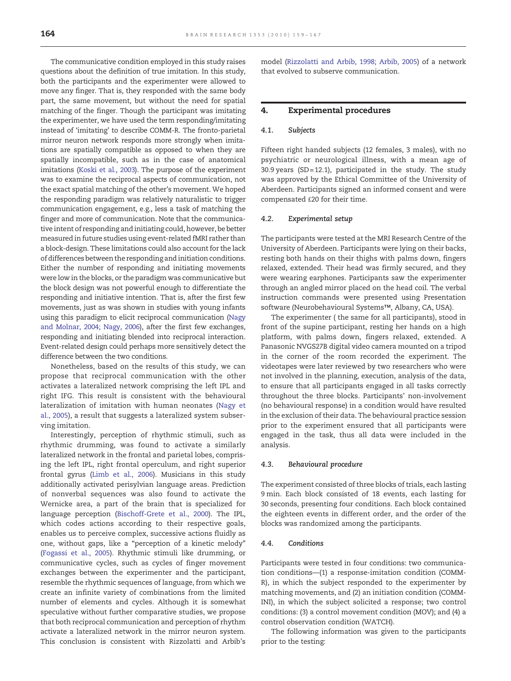The communicative condition employed in this study raises questions about the definition of true imitation. In this study, both the participants and the experimenter were allowed to move any finger. That is, they responded with the same body part, the same movement, but without the need for spatial matching of the finger. Though the participant was imitating the experimenter, we have used the term responding/imitating instead of 'imitating' to describe COMM-R. The fronto-parietal mirror neuron network responds more strongly when imitations are spatially compatible as opposed to when they are spatially incompatible, such as in the case of anatomical imitations ([Koski et al., 2003](#page-7-0)). The purpose of the experiment was to examine the reciprocal aspects of communication, not the exact spatial matching of the other's movement. We hoped the responding paradigm was relatively naturalistic to trigger communication engagement, e.g., less a task of matching the finger and more of communication. Note that the communicative intent of responding and initiating could, however, be better measured in future studies using event-related fMRI rather than a block-design. These limitations could also account for the lack of differences between the responding and initiation conditions. Either the number of responding and initiating movements were low in the blocks, or the paradigm was communicative but the block design was not powerful enough to differentiate the responding and initiative intention. That is, after the first few movements, just as was shown in studies with young infants using this paradigm to elicit reciprocal communication ([Nagy](#page-8-0) [and Molnar, 2004; Nagy, 2006\)](#page-8-0), after the first few exchanges, responding and initiating blended into reciprocal interaction. Event-related design could perhaps more sensitively detect the difference between the two conditions.

Nonetheless, based on the results of this study, we can propose that reciprocal communication with the other activates a lateralized network comprising the left IPL and right IFG. This result is consistent with the behavioural lateralization of imitation with human neonates ([Nagy et](#page-8-0) [al., 2005](#page-8-0)), a result that suggests a lateralized system subserving imitation.

Interestingly, perception of rhythmic stimuli, such as rhythmic drumming, was found to activate a similarly lateralized network in the frontal and parietal lobes, comprising the left IPL, right frontal operculum, and right superior frontal gyrus [\(Limb et al., 2006](#page-8-0)). Musicians in this study additionally activated perisylvian language areas. Prediction of nonverbal sequences was also found to activate the Wernicke area, a part of the brain that is specialized for language perception ([Bischoff-Grete et al., 2000](#page-7-0)). The IPL, which codes actions according to their respective goals, enables us to perceive complex, successive actions fluidly as one, without gaps, like a "perception of a kinetic melody" ([Fogassi et al., 2005](#page-7-0)). Rhythmic stimuli like drumming, or communicative cycles, such as cycles of finger movement exchanges between the experimenter and the participant, resemble the rhythmic sequences of language, from which we create an infinite variety of combinations from the limited number of elements and cycles. Although it is somewhat speculative without further comparative studies, we propose that both reciprocal communication and perception of rhythm activate a lateralized network in the mirror neuron system. This conclusion is consistent with Rizzolatti and Arbib's

model ([Rizzolatti and Arbib, 1998; Arbib, 2005](#page-8-0)) of a network that evolved to subserve communication.

#### 4. Experimental procedures

#### 4.1. Subjects

Fifteen right handed subjects (12 females, 3 males), with no psychiatric or neurological illness, with a mean age of 30.9 years (SD= 12.1), participated in the study. The study was approved by the Ethical Committee of the University of Aberdeen. Participants signed an informed consent and were compensated £20 for their time.

#### 4.2. Experimental setup

The participants were tested at the MRI Research Centre of the University of Aberdeen. Participants were lying on their backs, resting both hands on their thighs with palms down, fingers relaxed, extended. Their head was firmly secured, and they were wearing earphones. Participants saw the experimenter through an angled mirror placed on the head coil. The verbal instruction commands were presented using Presentation software (Neurobehavioural Systems™, Albany, CA, USA).

The experimenter ( the same for all participants), stood in front of the supine participant, resting her hands on a high platform, with palms down, fingers relaxed, extended. A Panasonic NVGS27B digital video camera mounted on a tripod in the corner of the room recorded the experiment. The videotapes were later reviewed by two researchers who were not involved in the planning, execution, analysis of the data, to ensure that all participants engaged in all tasks correctly throughout the three blocks. Participants' non-involvement (no behavioural response) in a condition would have resulted in the exclusion of their data. The behavioural practice session prior to the experiment ensured that all participants were engaged in the task, thus all data were included in the analysis.

#### 4.3. Behavioural procedure

The experiment consisted of three blocks of trials, each lasting 9 min. Each block consisted of 18 events, each lasting for 30 seconds, presenting four conditions. Each block contained the eighteen events in different order, and the order of the blocks was randomized among the participants.

#### 4.4. Conditions

Participants were tested in four conditions: two communication conditions—(1) a response-imitation condition (COMM-R), in which the subject responded to the experimenter by matching movements, and (2) an initiation condition (COMM-INI), in which the subject solicited a response; two control conditions: (3) a control movement condition (MOV); and (4) a control observation condition (WATCH).

The following information was given to the participants prior to the testing: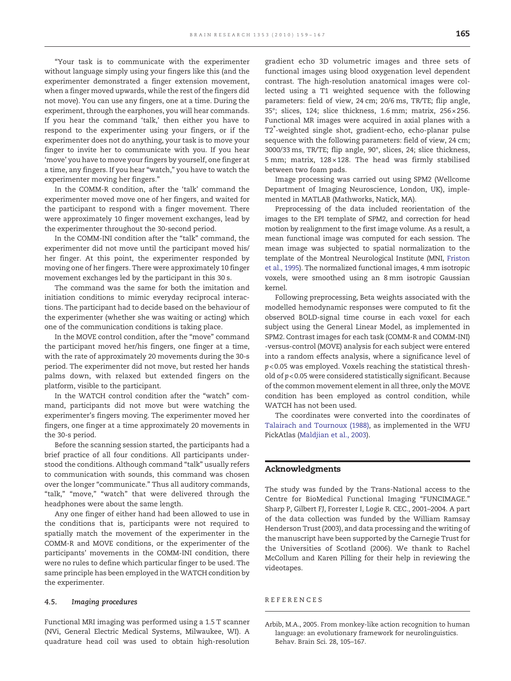<span id="page-6-0"></span>"Your task is to communicate with the experimenter without language simply using your fingers like this (and the experimenter demonstrated a finger extension movement, when a finger moved upwards, while the rest of the fingers did not move). You can use any fingers, one at a time. During the experiment, through the earphones, you will hear commands. If you hear the command 'talk,' then either you have to respond to the experimenter using your fingers, or if the experimenter does not do anything, your task is to move your finger to invite her to communicate with you. If you hear 'move' you have to move your fingers by yourself, one finger at a time, any fingers. If you hear "watch," you have to watch the experimenter moving her fingers."

In the COMM-R condition, after the 'talk' command the experimenter moved move one of her fingers, and waited for the participant to respond with a finger movement. There were approximately 10 finger movement exchanges, lead by the experimenter throughout the 30-second period.

In the COMM-INI condition after the "talk" command, the experimenter did not move until the participant moved his/ her finger. At this point, the experimenter responded by moving one of her fingers. There were approximately 10 finger movement exchanges led by the participant in this 30 s.

The command was the same for both the imitation and initiation conditions to mimic everyday reciprocal interactions. The participant had to decide based on the behaviour of the experimenter (whether she was waiting or acting) which one of the communication conditions is taking place.

In the MOVE control condition, after the "move" command the participant moved her/his fingers, one finger at a time, with the rate of approximately 20 movements during the 30-s period. The experimenter did not move, but rested her hands palms down, with relaxed but extended fingers on the platform, visible to the participant.

In the WATCH control condition after the "watch" command, participants did not move but were watching the experimenter's fingers moving. The experimenter moved her fingers, one finger at a time approximately 20 movements in the 30-s period.

Before the scanning session started, the participants had a brief practice of all four conditions. All participants understood the conditions. Although command "talk" usually refers to communication with sounds, this command was chosen over the longer "communicate." Thus all auditory commands, "talk," "move," "watch" that were delivered through the headphones were about the same length.

Any one finger of either hand had been allowed to use in the conditions that is, participants were not required to spatially match the movement of the experimenter in the COMM-R and MOVE conditions, or the experimenter of the participants' movements in the COMM-INI condition, there were no rules to define which particular finger to be used. The same principle has been employed in the WATCH condition by the experimenter.

#### 4.5. Imaging procedures

Functional MRI imaging was performed using a 1.5 T scanner (NVi, General Electric Medical Systems, Milwaukee, WI). A quadrature head coil was used to obtain high-resolution

gradient echo 3D volumetric images and three sets of functional images using blood oxygenation level dependent contrast. The high-resolution anatomical images were collected using a T1 weighted sequence with the following parameters: field of view, 24 cm; 20/6 ms, TR/TE; flip angle, 35°; slices, 124; slice thickness, 1.6 mm; matrix, 256× 256. Functional MR images were acquired in axial planes with a T2<sup>\*</sup>-weighted single shot, gradient-echo, echo-planar pulse sequence with the following parameters: field of view, 24 cm; 3000/33 ms, TR/TE; flip angle, 90°, slices, 24; slice thickness, 5 mm; matrix, 128 × 128. The head was firmly stabilised between two foam pads.

Image processing was carried out using SPM2 (Wellcome Department of Imaging Neuroscience, London, UK), implemented in MATLAB (Mathworks, Natick, MA).

Preprocessing of the data included reorientation of the images to the EPI template of SPM2, and correction for head motion by realignment to the first image volume. As a result, a mean functional image was computed for each session. The mean image was subjected to spatial normalization to the template of the Montreal Neurological Institute (MNI, [Friston](#page-7-0) [et al., 1995\)](#page-7-0). The normalized functional images, 4 mm isotropic voxels, were smoothed using an 8 mm isotropic Gaussian kernel.

Following preprocessing, Beta weights associated with the modelled hemodynamic responses were computed to fit the observed BOLD-signal time course in each voxel for each subject using the General Linear Model, as implemented in SPM2. Contrast images for each task (COMM-R and COMM-INI) -versus-control (MOVE) analysis for each subject were entered into a random effects analysis, where a significance level of  $p$ < 0.05 was employed. Voxels reaching the statistical threshold of  $p < 0.05$  were considered statistically significant. Because of the common movement element in all three, only the MOVE condition has been employed as control condition, while WATCH has not been used.

The coordinates were converted into the coordinates of [Talairach and Tournoux \(1988\)](#page-8-0), as implemented in the WFU PickAtlas [\(Maldjian et al., 2003](#page-8-0)).

#### Acknowledgments

The study was funded by the Trans-National access to the Centre for BioMedical Functional Imaging "FUNCIMAGE." Sharp P, Gilbert FJ, Forrester I, Logie R. CEC., 2001–2004. A part of the data collection was funded by the William Ramsay Henderson Trust (2003), and data processing and the writing of the manuscript have been supported by the Carnegie Trust for the Universities of Scotland (2006). We thank to Rachel McCollum and Karen Pilling for their help in reviewing the videotapes.

#### REFERENCES

Arbib, M.A., 2005. From monkey-like action recognition to human language: an evolutionary framework for neurolinguistics. Behav. Brain Sci. 28, 105–167.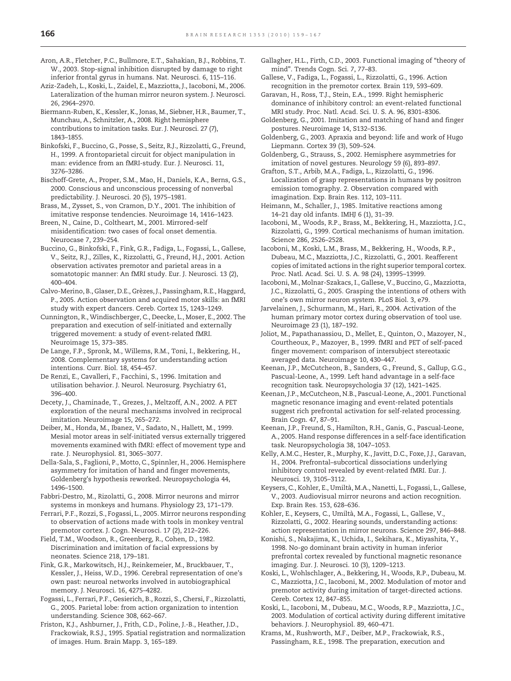- <span id="page-7-0"></span>Aron, A.R., Fletcher, P.C., Bullmore, E.T., Sahakian, B.J., Robbins, T. W., 2003. Stop-signal inhibition disrupted by damage to right inferior frontal gyrus in humans. Nat. Neurosci. 6, 115–116.
- Aziz-Zadeh, L., Koski, L., Zaidel, E., Mazziotta, J., Iacoboni, M., 2006. Lateralization of the human mirror neuron system. J. Neurosci. 26, 2964–2970.
- Biermann-Ruben, K., Kessler, K., Jonas, M., Siebner, H.R., Baumer, T., Munchau, A., Schnitzler, A., 2008. Right hemisphere contributions to imitation tasks. Eur. J. Neurosci. 27 (7), 1843–1855.
- Binkofski, F., Buccino, G., Posse, S., Seitz, R.J., Rizzolatti, G., Freund, H., 1999. A frontoparietal circuit for object manipulation in man: evidence from an fMRI-study. Eur. J. Neurosci. 11, 3276–3286.
- Bischoff-Grete, A., Proper, S.M., Mao, H., Daniels, K.A., Berns, G.S., 2000. Conscious and unconscious processing of nonverbal predictability. J. Neurosci. 20 (5), 1975–1981.
- Brass, M., Zysset, S., von Cramon, D.Y., 2001. The inhibition of imitative response tendencies. Neuroimage 14, 1416–1423.
- Breen, N., Caine, D., Coltheart, M., 2001. Mirrored-self misidentification: two cases of focal onset dementia. Neurocase 7, 239–254.
- Buccino, G., Binkofski, F., Fink, G.R., Fadiga, L., Fogassi, L., Gallese, V., Seitz, R.J., Zilles, K., Rizzolatti, G., Freund, H.J., 2001. Action observation activates premotor and parietal areas in a somatotopic manner: An fMRI study. Eur. J. Neurosci. 13 (2), 400–404.
- Calvo-Merino, B., Glaser, D.E., Grèzes, J., Passingham, R.E., Haggard, P., 2005. Action observation and acquired motor skills: an fMRI study with expert dancers. Cereb. Cortex 15, 1243–1249.
- Cunnington, R., Windischberger, C., Deecke, L., Moser, E., 2002. The preparation and execution of self-initiated and externally triggered movement: a study of event-related fMRI. Neuroimage 15, 373–385.
- De Lange, F.P., Spronk, M., Willems, R.M., Toni, I., Bekkering, H., 2008. Complementary systems for understanding action intentions. Curr. Biol. 18, 454–457.
- De Renzi, E., Cavalleri, F., Facchini, S., 1996. Imitation and utilisation behavior. J. Neurol. Neurosurg. Psychiatry 61, 396–400.
- Decety, J., Chaminade, T., Grezes, J., Meltzoff, A.N., 2002. A PET exploration of the neural mechanisms involved in reciprocal imitation. Neuroimage 15, 265–272.
- Deiber, M., Honda, M., Ibanez, V., Sadato, N., Hallett, M., 1999. Mesial motor areas in self-initiated versus externally triggered movements examined with fMRI: effect of movement type and rate. J. Neurophysiol. 81, 3065–3077.
- Della-Sala, S., Faglioni, P., Motto, C., Spinnler, H., 2006. Hemisphere asymmetry for imitation of hand and finger movements, Goldenberg's hypothesis reworked. Neuropsychologia 44, 1496–1500.
- Fabbri-Destro, M., Rizolatti, G., 2008. Mirror neurons and mirror systems in monkeys and humans. Physiology 23, 171–179.
- Ferrari, P.F., Rozzi, S., Fogassi, L., 2005. Mirror neurons responding to observation of actions made with tools in monkey ventral premotor cortex. J. Cogn. Neurosci. 17 (2), 212–226.
- Field, T.M., Woodson, R., Greenberg, R., Cohen, D., 1982. Discrimination and imitation of facial expressions by neonates. Science 218, 179–181.
- Fink, G.R., Markowitsch, H.J., Reinkemeier, M., Bruckbauer, T., Kessler, J., Heiss, W.D., 1996. Cerebral representation of one's own past: neuroal networks involved in autobiographical memory. J. Neurosci. 16, 4275–4282.
- Fogassi, L., Ferrari, P.F., Gesierich, B., Rozzi, S., Chersi, F., Rizzolatti, G., 2005. Parietal lobe: from action organization to intention understanding. Science 308, 662–667.
- Friston, K.J., Ashburner, J., Frith, C.D., Poline, J.-B., Heather, J.D., Frackowiak, R.S.J., 1995. Spatial registration and normalization of images. Hum. Brain Mapp. 3, 165–189.
- Gallagher, H.L., Firth, C.D., 2003. Functional imaging of "theory of mind". Trends Cogn. Sci. 7, 77–83.
- Gallese, V., Fadiga, L., Fogassi, L., Rizzolatti, G., 1996. Action recognition in the premotor cortex. Brain 119, 593–609.
- Garavan, H., Ross, T.J., Stein, E.A., 1999. Right hemispheric dominance of inhibitory control: an event-related functional MRI study. Proc. Natl. Acad. Sci. U. S. A. 96, 8301–8306.
- Goldenberg, G., 2001. Imitation and matching of hand and finger postures. Neuroimage 14, S132–S136.
- Goldenberg, G., 2003. Apraxia and beyond: life and work of Hugo Liepmann. Cortex 39 (3), 509–524.
- Goldenberg, G., Strauss, S., 2002. Hemisphere asymmetries for imitation of novel gestures. Neurology 59 (6), 893–897.
- Grafton, S.T., Arbib, M.A., Fadiga, L., Rizzolatti, G., 1996. Localization of grasp representations in humans by positron emission tomography. 2. Observation compared with imagination. Exp. Brain Res. 112, 103–111.
- Heimann, M., Schaller, J., 1985. Imitative reactions among 14–21 day old infants. IMHJ 6 (1), 31–39.
- Iacoboni, M., Woods, R.P., Brass, M., Bekkering, H., Mazziotta, J.C., Rizzolatti, G., 1999. Cortical mechanisms of human imitation. Science 286, 2526–2528.
- Iacoboni, M., Koski, L.M., Brass, M., Bekkering, H., Woods, R.P., Dubeau, M.C., Mazziotta, J.C., Rizzolatti, G., 2001. Reafferent copies of imitated actions in the right superior temporal cortex. Proc. Natl. Acad. Sci. U. S. A. 98 (24), 13995–13999.
- Iacoboni, M., Molnar-Szakacs, I., Gallese, V., Buccino, G., Mazziotta, J.C., Rizzolatti, G., 2005. Grasping the intentions of others with one's own mirror neuron system. PLoS Biol. 3, e79.
- Jarvelainen, J., Schurmann, M., Hari, R., 2004. Activation of the human primary motor cortex during observation of tool use. Neuroimage 23 (1), 187–192.
- Joliot, M., Papathanassiou, D., Mellet, E., Quinton, O., Mazoyer, N., Courtheoux, P., Mazoyer, B., 1999. fMRI and PET of self-paced finger movement: comparison of intersubject stereotaxic averaged data. Neuroimage 10, 430–447.
- Keenan, J.P., McCutcheon, B., Sanders, G., Freund, S., Gallup, G.G., Pascual-Leone, A., 1999. Left hand advantage in a self-face recognition task. Neuropsychologia 37 (12), 1421–1425.
- Keenan, J.P., McCutcheon, N.B., Pascual-Leone, A., 2001. Functional magnetic resonance imaging and event-related potentials suggest rich prefrontal activation for self-related processing. Brain Cogn. 47, 87–91.
- Keenan, J.P., Freund, S., Hamilton, R.H., Ganis, G., Pascual-Leone, A., 2005. Hand response differences in a self-face identification task. Neuropsychologia 38, 1047–1053.
- Kelly, A.M.C., Hester, R., Murphy, K., Javitt, D.C., Foxe, J.J., Garavan, H., 2004. Prefrontal–subcortical dissociations underlying inhibitory control revealed by event-related fMRI. Eur. J. Neurosci. 19, 3105–3112.
- Keysers, C., Kohler, E., Umiltà, M.A., Nanetti, L., Fogassi, L., Gallese, V., 2003. Audiovisual mirror neurons and action recognition. Exp. Brain Res. 153, 628–636.
- Kohler, E., Keysers, C., Umiltà, M.A., Fogassi, L., Gallese, V., Rizzolatti, G., 2002. Hearing sounds, understanding actions: action representation in mirror neurons. Science 297, 846–848.
- Konishi, S., Nakajima, K., Uchida, I., Sekihara, K., Miyashita, Y., 1998. No-go dominant brain activity in human inferior prefrontal cortex revealed by functional magnetic resonance imaging. Eur. J. Neurosci. 10 (3), 1209–1213.
- Koski, L., Wohlschlager, A., Bekkering, H., Woods, R.P., Dubeau, M. C., Mazziotta, J.C., Iacoboni, M., 2002. Modulation of motor and premotor activity during imitation of target-directed actions. Cereb. Cortex 12, 847–855.
- Koski, L., Iacoboni, M., Dubeau, M.C., Woods, R.P., Mazziotta, J.C., 2003. Modulation of cortical activity during different imitative behaviors. J. Neurophysiol. 89, 460–471.
- Krams, M., Rushworth, M.F., Deiber, M.P., Frackowiak, R.S., Passingham, R.E., 1998. The preparation, execution and